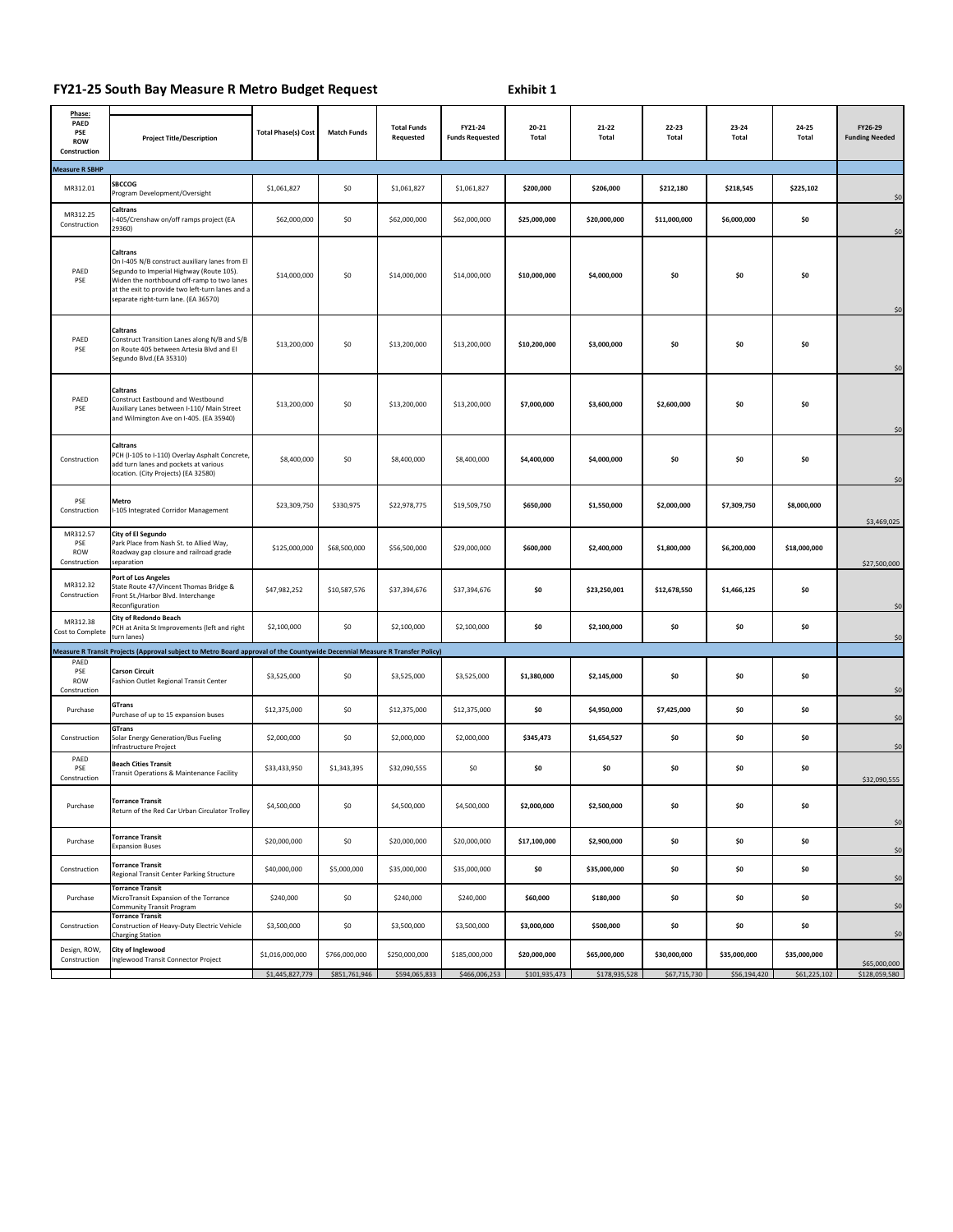## **FY21-25 South Bay Measure R Metro Budget Request**

**Exhibit 1**

| Phase:<br>PAED<br><b>PSE</b><br><b>ROW</b><br>Construction | <b>Project Title/Description</b>                                                                                                                                                                                                                 | <b>Total Phase(s) Cost</b> | <b>Match Funds</b> | <b>Total Funds</b><br>Requested | FY21-24<br><b>Funds Requested</b> | 20-21<br>Total | 21-22<br>Total | 22-23<br>Total | 23-24<br>Total | 24-25<br>Total | FY26-29<br><b>Funding Needed</b> |
|------------------------------------------------------------|--------------------------------------------------------------------------------------------------------------------------------------------------------------------------------------------------------------------------------------------------|----------------------------|--------------------|---------------------------------|-----------------------------------|----------------|----------------|----------------|----------------|----------------|----------------------------------|
| Measure R SBHP                                             |                                                                                                                                                                                                                                                  |                            |                    |                                 |                                   |                |                |                |                |                |                                  |
| MR312.01                                                   | <b>SBCCOG</b><br>Program Development/Oversight                                                                                                                                                                                                   | \$1,061,827                | \$0                | \$1,061,827                     | \$1,061,827                       | \$200,000      | \$206,000      | \$212,180      | \$218,545      | \$225,102      | \$0                              |
| MR312.25<br>Construction                                   | Caltrans<br>-405/Crenshaw on/off ramps project (EA<br>29360)                                                                                                                                                                                     | \$62,000,000               | \$0                | \$62,000,000                    | \$62,000,000                      | \$25,000,000   | \$20,000,000   | \$11,000,000   | \$6,000,000    | \$0            | \$0                              |
| PAED<br>PSE                                                | Caltrans<br>On I-405 N/B construct auxiliary lanes from El<br>Segundo to Imperial Highway (Route 105).<br>Widen the northbound off-ramp to two lanes<br>at the exit to provide two left-turn lanes and a<br>separate right-turn lane. (EA 36570) | \$14,000,000               | \$0                | \$14,000,000                    | \$14,000,000                      | \$10,000,000   | \$4,000,000    | \$0            | \$0            | \$0            | \$0                              |
| PAED<br>PSE                                                | Caltrans<br>Construct Transition Lanes along N/B and S/B<br>on Route 405 between Artesia Blvd and El<br>Segundo Blvd.(EA 35310)                                                                                                                  | \$13,200,000               | \$0                | \$13,200,000                    | \$13,200,000                      | \$10,200,000   | \$3,000,000    | \$0            | \$0            | \$0            | \$0                              |
| PAED<br>PSE                                                | Caltrans<br>Construct Eastbound and Westbound<br>Auxiliary Lanes between I-110/ Main Street<br>and Wilmington Ave on I-405. (EA 35940)                                                                                                           | \$13,200,000               | \$0                | \$13,200,000                    | \$13,200,000                      | \$7,000,000    | \$3,600,000    | \$2,600,000    | \$0            | \$0            | \$0                              |
| Construction                                               | Caltrans<br>PCH (I-105 to I-110) Overlay Asphalt Concrete,<br>add turn lanes and pockets at various<br>location. (City Projects) (EA 32580)                                                                                                      | \$8,400,000                | \$0                | \$8,400,000                     | \$8,400,000                       | \$4,400,000    | \$4,000,000    | \$0            | \$0            | \$0            | \$0                              |
| PSE<br>Construction                                        | Metro<br>I-105 Integrated Corridor Management                                                                                                                                                                                                    | \$23,309,750               | \$330,975          | \$22,978,775                    | \$19,509,750                      | \$650,000      | \$1,550,000    | \$2,000,000    | \$7,309,750    | \$8,000,000    | \$3,469,025                      |
| MR312.57<br>PSE<br>ROW<br>Construction                     | <b>City of El Segundo</b><br>Park Place from Nash St. to Allied Way,<br>Roadway gap closure and railroad grade<br>separation                                                                                                                     | \$125,000,000              | \$68,500,000       | \$56,500,000                    | \$29,000,000                      | \$600,000      | \$2,400,000    | \$1,800,000    | \$6,200,000    | \$18,000,000   | \$27,500,000                     |
| MR312.32<br>Construction                                   | Port of Los Angeles<br>State Route 47/Vincent Thomas Bridge &<br>Front St./Harbor Blvd. Interchange<br>Reconfiguration                                                                                                                           | \$47,982,252               | \$10,587,576       | \$37,394,676                    | \$37,394,676                      | \$0            | \$23,250,001   | \$12,678,550   | \$1,466,125    | \$0            | \$0                              |
| MR312.38<br>Cost to Complete                               | City of Redondo Beach<br>PCH at Anita St Improvements (left and right<br>turn lanes)                                                                                                                                                             | \$2,100,000                | \$0                | \$2,100,000                     | \$2,100,000                       | \$0            | \$2,100,000    | \$0            | \$0            | \$0            | \$0                              |
|                                                            | Measure R Transit Projects (Approval subject to Metro Board approval of the Countywide Decennial Measure R Transfer Policy)                                                                                                                      |                            |                    |                                 |                                   |                |                |                |                |                |                                  |
| PAED<br>PSE<br>ROW<br>Construction                         | <b>Carson Circuit</b><br>Fashion Outlet Regional Transit Center                                                                                                                                                                                  | \$3,525,000                | \$0                | \$3,525,000                     | \$3,525,000                       | \$1,380,000    | \$2,145,000    | \$0            | \$0            | \$0            | \$0                              |
| Purchase                                                   | GTrans<br>Purchase of up to 15 expansion buses                                                                                                                                                                                                   | \$12,375,000               | \$0                | \$12,375,000                    | \$12,375,000                      | \$0            | \$4,950,000    | \$7,425,000    | \$0            | \$0            | \$0                              |
| Construction                                               | GTrans<br>Solar Energy Generation/Bus Fueling<br>Infrastructure Project                                                                                                                                                                          | \$2,000,000                | \$0                | \$2,000,000                     | \$2,000,000                       | \$345,473      | \$1,654,527    | \$0            | \$0            | \$0            | \$0                              |
| PAED<br>PSE<br>Construction                                | <b>Beach Cities Transit</b><br>Transit Operations & Maintenance Facility                                                                                                                                                                         | \$33,433,950               | \$1,343,395        | \$32,090,555                    | \$0                               | \$0            | \$0            | \$0            | \$0            | \$0            | \$32,090,555                     |
| Purchase                                                   | <b>Torrance Transit</b><br>Return of the Red Car Urban Circulator Trolley                                                                                                                                                                        | \$4,500,000                | \$0                | \$4,500,000                     | \$4,500,000                       | \$2,000,000    | \$2,500,000    | \$0            | \$0            | \$0            | \$0                              |
| Purchase                                                   | <b>Torrance Transit</b><br><b>Expansion Buses</b>                                                                                                                                                                                                | \$20,000,000               | \$0                | \$20,000,000                    | \$20,000,000                      | \$17,100,000   | \$2,900,000    | \$0            | \$0            | \$0            | \$0                              |
| Construction                                               | <b>Torrance Transit</b><br>Regional Transit Center Parking Structure                                                                                                                                                                             | \$40,000,000               | \$5,000,000        | \$35,000,000                    | \$35,000,000                      | \$0            | \$35,000,000   | \$0            | \$0            | \$0            | \$0                              |
| Purchase                                                   | <b>Torrance Transit</b><br>MicroTransit Expansion of the Torrance<br><b>Community Transit Program</b>                                                                                                                                            | \$240,000                  | \$0                | \$240,000                       | \$240,000                         | \$60,000       | \$180,000      | \$0            | \$0            | \$0            | \$0                              |
| Construction                                               | <b>Torrance Transit</b><br>Construction of Heavy-Duty Electric Vehicle<br><b>Charging Station</b>                                                                                                                                                | \$3,500,000                | \$0                | \$3,500,000                     | \$3,500,000                       | \$3,000,000    | \$500,000      | \$0            | \$0            | \$0            | \$0                              |
| Design, ROW,<br>Construction                               | City of Inglewood<br>Inglewood Transit Connector Project                                                                                                                                                                                         | \$1,016,000,000            | \$766,000,000      | \$250,000,000                   | \$185,000,000                     | \$20,000,000   | \$65,000,000   | \$30,000,000   | \$35,000,000   | \$35,000,000   | \$65,000,000                     |
|                                                            |                                                                                                                                                                                                                                                  | \$1,445,827,779            | \$851,761,946      | \$594,065,833                   | \$466,006,253                     | \$101,935,473  | \$178,935,528  | \$67,715,730   | \$56,194,420   | \$61,225,102   | \$128,059,580                    |